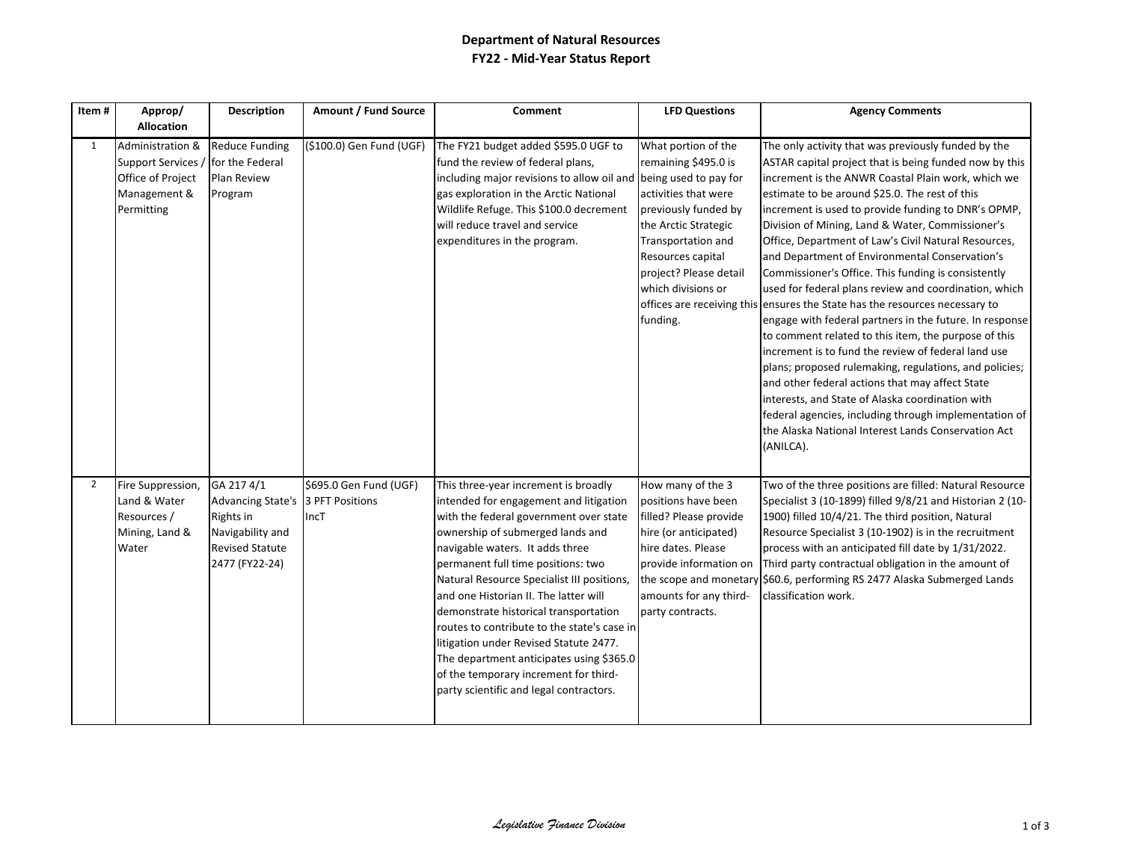## **Department of Natural Resources FY22 - Mid-Year Status Report**

| Item#        | Approp/                                                                                   | <b>Description</b>                                                                                                           | Amount / Fund Source           | Comment                                                                                                                                                                                                                                                                                                                                                                                                                                                                                                                                                                                        | <b>LFD Questions</b>                                                                                                                                                                                                                                | <b>Agency Comments</b>                                                                                                                                                                                                                                                                                                                                                                                                                                                                                                                                                                                                                                                                                                                                                                                                                                                                                                                                                                                                                                                                                            |
|--------------|-------------------------------------------------------------------------------------------|------------------------------------------------------------------------------------------------------------------------------|--------------------------------|------------------------------------------------------------------------------------------------------------------------------------------------------------------------------------------------------------------------------------------------------------------------------------------------------------------------------------------------------------------------------------------------------------------------------------------------------------------------------------------------------------------------------------------------------------------------------------------------|-----------------------------------------------------------------------------------------------------------------------------------------------------------------------------------------------------------------------------------------------------|-------------------------------------------------------------------------------------------------------------------------------------------------------------------------------------------------------------------------------------------------------------------------------------------------------------------------------------------------------------------------------------------------------------------------------------------------------------------------------------------------------------------------------------------------------------------------------------------------------------------------------------------------------------------------------------------------------------------------------------------------------------------------------------------------------------------------------------------------------------------------------------------------------------------------------------------------------------------------------------------------------------------------------------------------------------------------------------------------------------------|
|              | <b>Allocation</b>                                                                         |                                                                                                                              |                                |                                                                                                                                                                                                                                                                                                                                                                                                                                                                                                                                                                                                |                                                                                                                                                                                                                                                     |                                                                                                                                                                                                                                                                                                                                                                                                                                                                                                                                                                                                                                                                                                                                                                                                                                                                                                                                                                                                                                                                                                                   |
| $\mathbf{1}$ | Administration &<br>Support Services /<br>Office of Project<br>Management &<br>Permitting | <b>Reduce Funding</b><br>for the Federal<br><b>Plan Review</b><br>Program                                                    | (\$100.0) Gen Fund (UGF)       | The FY21 budget added \$595.0 UGF to<br>fund the review of federal plans,<br>including major revisions to allow oil and<br>gas exploration in the Arctic National<br>Wildlife Refuge. This \$100.0 decrement<br>will reduce travel and service<br>expenditures in the program.                                                                                                                                                                                                                                                                                                                 | What portion of the<br>remaining \$495.0 is<br>being used to pay for<br>activities that were<br>previously funded by<br>the Arctic Strategic<br>Transportation and<br>Resources capital<br>project? Please detail<br>which divisions or<br>funding. | The only activity that was previously funded by the<br>ASTAR capital project that is being funded now by this<br>increment is the ANWR Coastal Plain work, which we<br>estimate to be around \$25.0. The rest of this<br>increment is used to provide funding to DNR's OPMP,<br>Division of Mining, Land & Water, Commissioner's<br>Office, Department of Law's Civil Natural Resources,<br>and Department of Environmental Conservation's<br>Commissioner's Office. This funding is consistently<br>used for federal plans review and coordination, which<br>offices are receiving this ensures the State has the resources necessary to<br>engage with federal partners in the future. In response<br>to comment related to this item, the purpose of this<br>increment is to fund the review of federal land use<br>plans; proposed rulemaking, regulations, and policies;<br>and other federal actions that may affect State<br>interests, and State of Alaska coordination with<br>federal agencies, including through implementation of<br>the Alaska National Interest Lands Conservation Act<br>(ANILCA). |
| 2            | Fire Suppression,<br>Land & Water<br>Resources /<br>Mining, Land &<br>Water               | GA 217 4/1<br>Advancing State's 3 PFT Positions<br>Rights in<br>Navigability and<br><b>Revised Statute</b><br>2477 (FY22-24) | \$695.0 Gen Fund (UGF)<br>IncT | This three-year increment is broadly<br>intended for engagement and litigation<br>with the federal government over state<br>ownership of submerged lands and<br>navigable waters. It adds three<br>permanent full time positions: two<br>Natural Resource Specialist III positions,<br>and one Historian II. The latter will<br>demonstrate historical transportation<br>routes to contribute to the state's case in<br>litigation under Revised Statute 2477.<br>The department anticipates using \$365.0<br>of the temporary increment for third-<br>party scientific and legal contractors. | How many of the 3<br>positions have been<br>filled? Please provide<br>hire (or anticipated)<br>hire dates. Please<br>provide information on<br>amounts for any third-<br>party contracts.                                                           | Two of the three positions are filled: Natural Resource<br>Specialist 3 (10-1899) filled 9/8/21 and Historian 2 (10-<br>1900) filled 10/4/21. The third position, Natural<br>Resource Specialist 3 (10-1902) is in the recruitment<br>process with an anticipated fill date by 1/31/2022.<br>Third party contractual obligation in the amount of<br>the scope and monetary \$60.6, performing RS 2477 Alaska Submerged Lands<br>classification work.                                                                                                                                                                                                                                                                                                                                                                                                                                                                                                                                                                                                                                                              |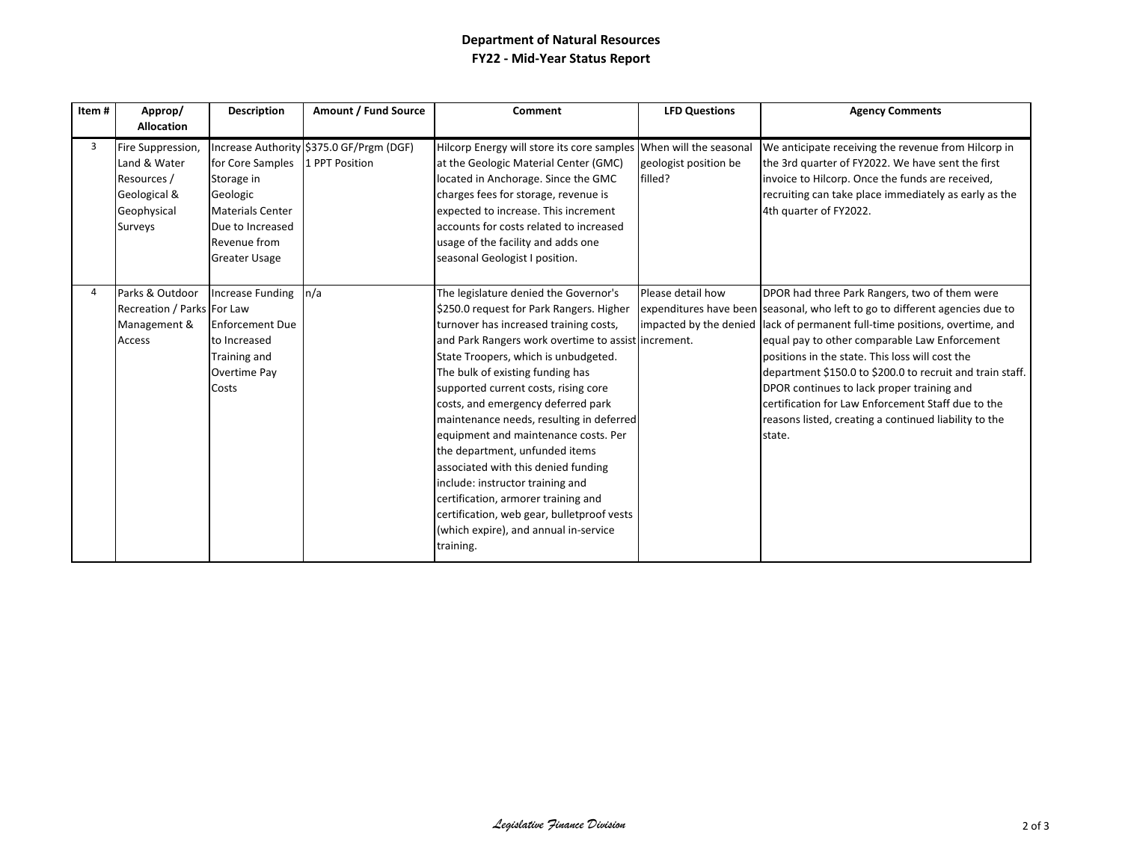## **Department of Natural Resources FY22 - Mid-Year Status Report**

| Item# | Approp/<br><b>Allocation</b>                                                               | <b>Description</b>                                                                                                                               | Amount / Fund Source                     | Comment                                                                                                                                                                                                                                                                                                                                                                                                                                                                                                                                                                                                                                                                                  | <b>LFD Questions</b>             | <b>Agency Comments</b>                                                                                                                                                                                                                                                                                                                                                                                                                                                                                                                               |
|-------|--------------------------------------------------------------------------------------------|--------------------------------------------------------------------------------------------------------------------------------------------------|------------------------------------------|------------------------------------------------------------------------------------------------------------------------------------------------------------------------------------------------------------------------------------------------------------------------------------------------------------------------------------------------------------------------------------------------------------------------------------------------------------------------------------------------------------------------------------------------------------------------------------------------------------------------------------------------------------------------------------------|----------------------------------|------------------------------------------------------------------------------------------------------------------------------------------------------------------------------------------------------------------------------------------------------------------------------------------------------------------------------------------------------------------------------------------------------------------------------------------------------------------------------------------------------------------------------------------------------|
| 3     | Fire Suppression,<br>Land & Water<br>Resources /<br>Geological &<br>Geophysical<br>Surveys | for Core Samples 1 PPT Position<br>Storage in<br>Geologic<br><b>Materials Center</b><br>Due to Increased<br>Revenue from<br><b>Greater Usage</b> | Increase Authority \$375.0 GF/Prgm (DGF) | Hilcorp Energy will store its core samples When will the seasonal<br>at the Geologic Material Center (GMC)<br>located in Anchorage. Since the GMC<br>charges fees for storage, revenue is<br>expected to increase. This increment<br>accounts for costs related to increased<br>usage of the facility and adds one<br>seasonal Geologist I position.                                                                                                                                                                                                                                                                                                                                     | geologist position be<br>filled? | We anticipate receiving the revenue from Hilcorp in<br>the 3rd quarter of FY2022. We have sent the first<br>invoice to Hilcorp. Once the funds are received,<br>recruiting can take place immediately as early as the<br>4th quarter of FY2022.                                                                                                                                                                                                                                                                                                      |
|       | Parks & Outdoor<br>Recreation / Parks For Law<br>Management &<br><b>Access</b>             | Increase Funding n/a<br><b>Enforcement Due</b><br>to Increased<br>Training and<br>Overtime Pay<br>Costs                                          |                                          | The legislature denied the Governor's<br>\$250.0 request for Park Rangers. Higher<br>turnover has increased training costs,<br>and Park Rangers work overtime to assist increment.<br>State Troopers, which is unbudgeted.<br>The bulk of existing funding has<br>supported current costs, rising core<br>costs, and emergency deferred park<br>maintenance needs, resulting in deferred<br>equipment and maintenance costs. Per<br>the department, unfunded items<br>associated with this denied funding<br>include: instructor training and<br>certification, armorer training and<br>certification, web gear, bulletproof vests<br>(which expire), and annual in-service<br>training. | Please detail how                | DPOR had three Park Rangers, two of them were<br>expenditures have been seasonal, who left to go to different agencies due to<br>impacted by the denied lack of permanent full-time positions, overtime, and<br>equal pay to other comparable Law Enforcement<br>positions in the state. This loss will cost the<br>department \$150.0 to \$200.0 to recruit and train staff.<br>DPOR continues to lack proper training and<br>certification for Law Enforcement Staff due to the<br>reasons listed, creating a continued liability to the<br>state. |